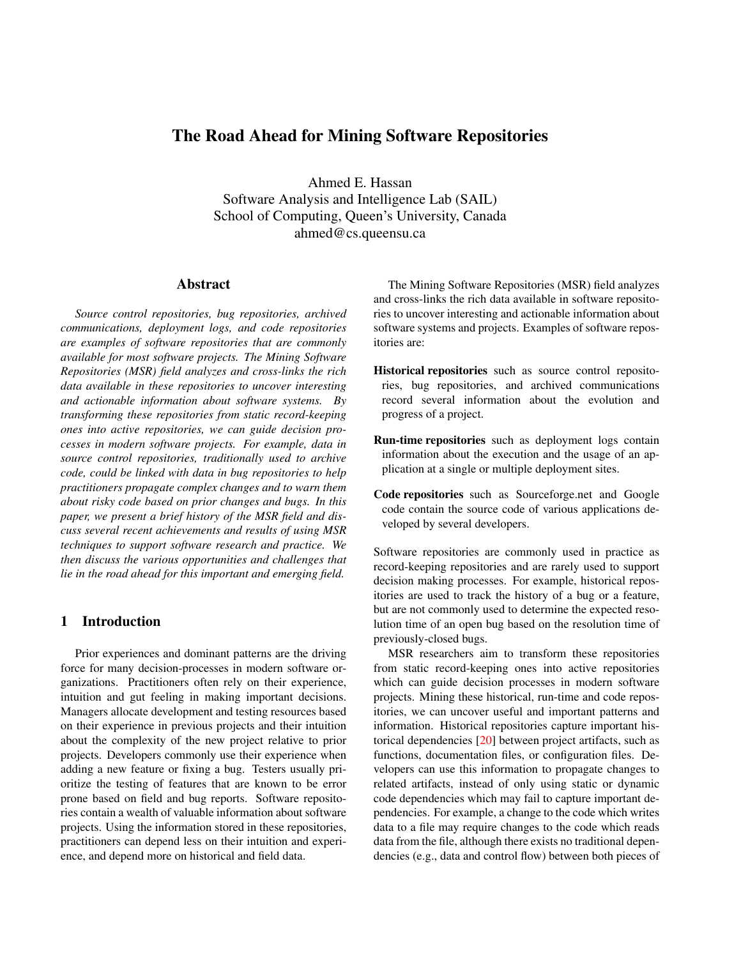# The Road Ahead for Mining Software Repositories

Ahmed E. Hassan Software Analysis and Intelligence Lab (SAIL) School of Computing, Queen's University, Canada ahmed@cs.queensu.ca

#### Abstract

*Source control repositories, bug repositories, archived communications, deployment logs, and code repositories are examples of software repositories that are commonly available for most software projects. The Mining Software Repositories (MSR) field analyzes and cross-links the rich data available in these repositories to uncover interesting and actionable information about software systems. By transforming these repositories from static record-keeping ones into active repositories, we can guide decision processes in modern software projects. For example, data in source control repositories, traditionally used to archive code, could be linked with data in bug repositories to help practitioners propagate complex changes and to warn them about risky code based on prior changes and bugs. In this paper, we present a brief history of the MSR field and discuss several recent achievements and results of using MSR techniques to support software research and practice. We then discuss the various opportunities and challenges that lie in the road ahead for this important and emerging field.*

# 1 Introduction

Prior experiences and dominant patterns are the driving force for many decision-processes in modern software organizations. Practitioners often rely on their experience, intuition and gut feeling in making important decisions. Managers allocate development and testing resources based on their experience in previous projects and their intuition about the complexity of the new project relative to prior projects. Developers commonly use their experience when adding a new feature or fixing a bug. Testers usually prioritize the testing of features that are known to be error prone based on field and bug reports. Software repositories contain a wealth of valuable information about software projects. Using the information stored in these repositories, practitioners can depend less on their intuition and experience, and depend more on historical and field data.

The Mining Software Repositories (MSR) field analyzes and cross-links the rich data available in software repositories to uncover interesting and actionable information about software systems and projects. Examples of software repositories are:

- Historical repositories such as source control repositories, bug repositories, and archived communications record several information about the evolution and progress of a project.
- Run-time repositories such as deployment logs contain information about the execution and the usage of an application at a single or multiple deployment sites.
- Code repositories such as Sourceforge.net and Google code contain the source code of various applications developed by several developers.

Software repositories are commonly used in practice as record-keeping repositories and are rarely used to support decision making processes. For example, historical repositories are used to track the history of a bug or a feature, but are not commonly used to determine the expected resolution time of an open bug based on the resolution time of previously-closed bugs.

MSR researchers aim to transform these repositories from static record-keeping ones into active repositories which can guide decision processes in modern software projects. Mining these historical, run-time and code repositories, we can uncover useful and important patterns and information. Historical repositories capture important historical dependencies [\[20\]](#page-8-0) between project artifacts, such as functions, documentation files, or configuration files. Developers can use this information to propagate changes to related artifacts, instead of only using static or dynamic code dependencies which may fail to capture important dependencies. For example, a change to the code which writes data to a file may require changes to the code which reads data from the file, although there exists no traditional dependencies (e.g., data and control flow) between both pieces of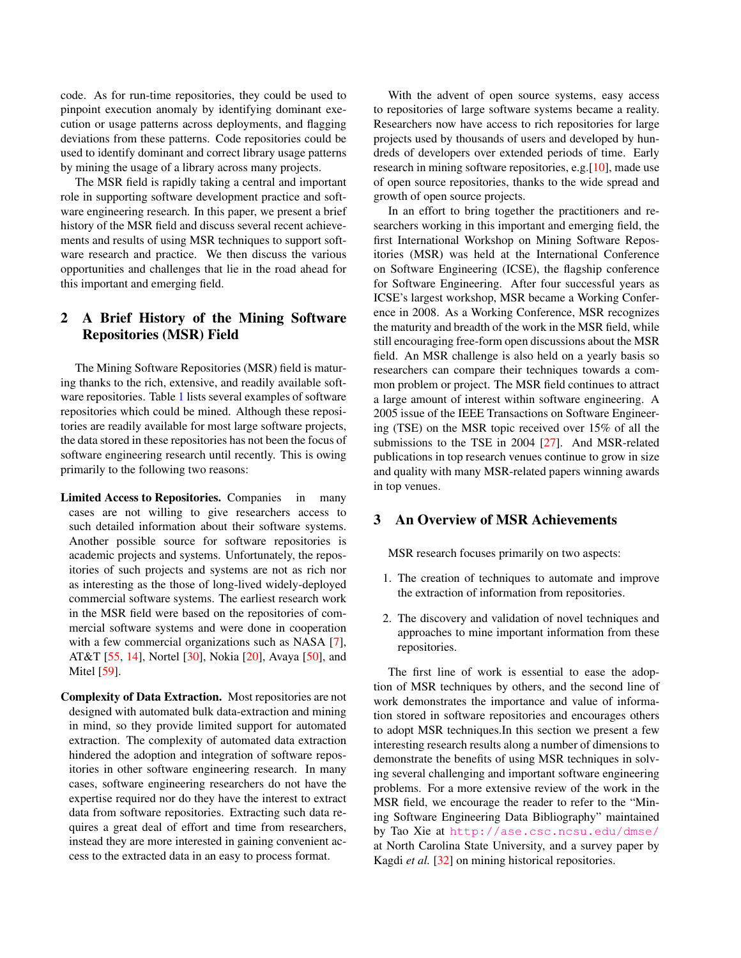code. As for run-time repositories, they could be used to pinpoint execution anomaly by identifying dominant execution or usage patterns across deployments, and flagging deviations from these patterns. Code repositories could be used to identify dominant and correct library usage patterns by mining the usage of a library across many projects.

The MSR field is rapidly taking a central and important role in supporting software development practice and software engineering research. In this paper, we present a brief history of the MSR field and discuss several recent achievements and results of using MSR techniques to support software research and practice. We then discuss the various opportunities and challenges that lie in the road ahead for this important and emerging field.

# 2 A Brief History of the Mining Software Repositories (MSR) Field

The Mining Software Repositories (MSR) field is maturing thanks to the rich, extensive, and readily available soft-ware repositories. Table [1](#page-2-0) lists several examples of software repositories which could be mined. Although these repositories are readily available for most large software projects, the data stored in these repositories has not been the focus of software engineering research until recently. This is owing primarily to the following two reasons:

- Limited Access to Repositories. Companies in many cases are not willing to give researchers access to such detailed information about their software systems. Another possible source for software repositories is academic projects and systems. Unfortunately, the repositories of such projects and systems are not as rich nor as interesting as the those of long-lived widely-deployed commercial software systems. The earliest research work in the MSR field were based on the repositories of commercial software systems and were done in cooperation with a few commercial organizations such as NASA [\[7\]](#page-8-1), AT&T [\[55,](#page-9-0) [14\]](#page-8-2), Nortel [\[30\]](#page-9-1), Nokia [\[20\]](#page-8-0), Avaya [\[50\]](#page-9-2), and Mitel [\[59\]](#page-9-3).
- Complexity of Data Extraction. Most repositories are not designed with automated bulk data-extraction and mining in mind, so they provide limited support for automated extraction. The complexity of automated data extraction hindered the adoption and integration of software repositories in other software engineering research. In many cases, software engineering researchers do not have the expertise required nor do they have the interest to extract data from software repositories. Extracting such data requires a great deal of effort and time from researchers, instead they are more interested in gaining convenient access to the extracted data in an easy to process format.

With the advent of open source systems, easy access to repositories of large software systems became a reality. Researchers now have access to rich repositories for large projects used by thousands of users and developed by hundreds of developers over extended periods of time. Early research in mining software repositories, e.g.[\[10\]](#page-8-3), made use of open source repositories, thanks to the wide spread and growth of open source projects.

In an effort to bring together the practitioners and researchers working in this important and emerging field, the first International Workshop on Mining Software Repositories (MSR) was held at the International Conference on Software Engineering (ICSE), the flagship conference for Software Engineering. After four successful years as ICSE's largest workshop, MSR became a Working Conference in 2008. As a Working Conference, MSR recognizes the maturity and breadth of the work in the MSR field, while still encouraging free-form open discussions about the MSR field. An MSR challenge is also held on a yearly basis so researchers can compare their techniques towards a common problem or project. The MSR field continues to attract a large amount of interest within software engineering. A 2005 issue of the IEEE Transactions on Software Engineering (TSE) on the MSR topic received over 15% of all the submissions to the TSE in 2004 [\[27\]](#page-8-4). And MSR-related publications in top research venues continue to grow in size and quality with many MSR-related papers winning awards in top venues.

# 3 An Overview of MSR Achievements

MSR research focuses primarily on two aspects:

- 1. The creation of techniques to automate and improve the extraction of information from repositories.
- 2. The discovery and validation of novel techniques and approaches to mine important information from these repositories.

The first line of work is essential to ease the adoption of MSR techniques by others, and the second line of work demonstrates the importance and value of information stored in software repositories and encourages others to adopt MSR techniques.In this section we present a few interesting research results along a number of dimensions to demonstrate the benefits of using MSR techniques in solving several challenging and important software engineering problems. For a more extensive review of the work in the MSR field, we encourage the reader to refer to the "Mining Software Engineering Data Bibliography" maintained by Tao Xie at <http://ase.csc.ncsu.edu/dmse/> at North Carolina State University, and a survey paper by Kagdi *et al.* [\[32\]](#page-9-4) on mining historical repositories.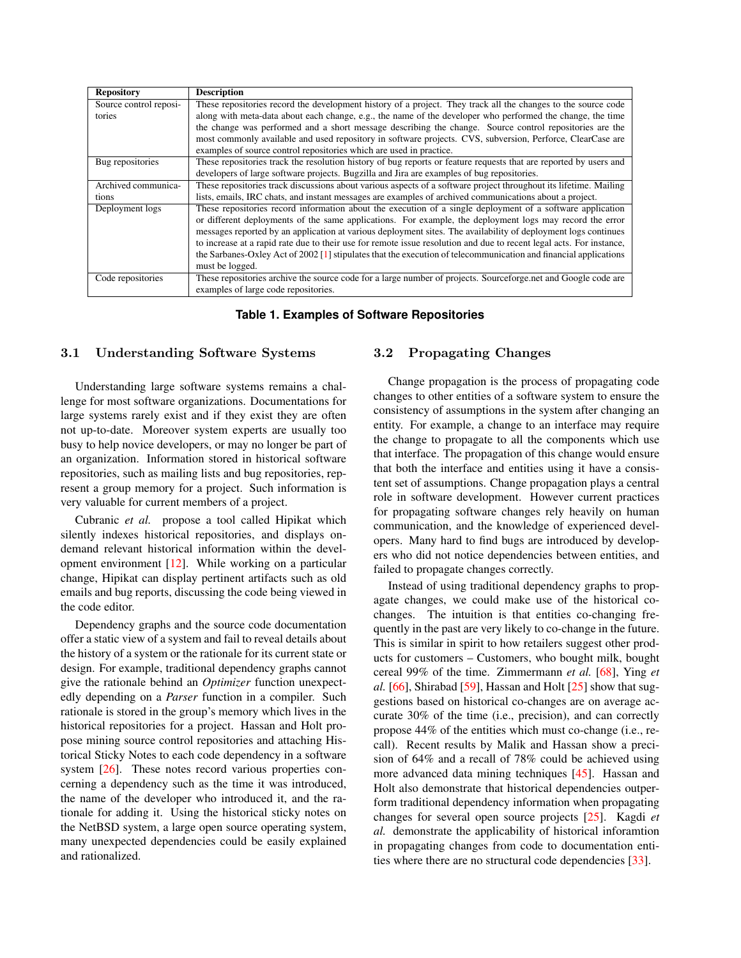| <b>Repository</b>      | <b>Description</b>                                                                                                   |
|------------------------|----------------------------------------------------------------------------------------------------------------------|
| Source control reposi- | These repositories record the development history of a project. They track all the changes to the source code        |
| tories                 | along with meta-data about each change, e.g., the name of the developer who performed the change, the time           |
|                        | the change was performed and a short message describing the change. Source control repositories are the              |
|                        | most commonly available and used repository in software projects. CVS, subversion, Perforce, ClearCase are           |
|                        | examples of source control repositories which are used in practice.                                                  |
| Bug repositories       | These repositories track the resolution history of bug reports or feature requests that are reported by users and    |
|                        | developers of large software projects. Bugzilla and Jira are examples of bug repositories.                           |
| Archived communica-    | These repositories track discussions about various aspects of a software project throughout its lifetime. Mailing    |
| tions                  | lists, emails, IRC chats, and instant messages are examples of archived communications about a project.              |
| Deployment logs        | These repositories record information about the execution of a single deployment of a software application           |
|                        | or different deployments of the same applications. For example, the deployment logs may record the error             |
|                        | messages reported by an application at various deployment sites. The availability of deployment logs continues       |
|                        | to increase at a rapid rate due to their use for remote issue resolution and due to recent legal acts. For instance, |
|                        | the Sarbanes-Oxley Act of 2002 [1] stipulates that the execution of telecommunication and financial applications     |
|                        | must be logged.                                                                                                      |
| Code repositories      | These repositories archive the source code for a large number of projects. Sourceforge net and Google code are       |
|                        | examples of large code repositories.                                                                                 |

<span id="page-2-0"></span>**Table 1. Examples of Software Repositories**

# 3.1 Understanding Software Systems

Understanding large software systems remains a challenge for most software organizations. Documentations for large systems rarely exist and if they exist they are often not up-to-date. Moreover system experts are usually too busy to help novice developers, or may no longer be part of an organization. Information stored in historical software repositories, such as mailing lists and bug repositories, represent a group memory for a project. Such information is very valuable for current members of a project.

Cubranic *et al.* propose a tool called Hipikat which silently indexes historical repositories, and displays ondemand relevant historical information within the development environment [\[12\]](#page-8-6). While working on a particular change, Hipikat can display pertinent artifacts such as old emails and bug reports, discussing the code being viewed in the code editor.

Dependency graphs and the source code documentation offer a static view of a system and fail to reveal details about the history of a system or the rationale for its current state or design. For example, traditional dependency graphs cannot give the rationale behind an *Optimizer* function unexpectedly depending on a *Parser* function in a compiler. Such rationale is stored in the group's memory which lives in the historical repositories for a project. Hassan and Holt propose mining source control repositories and attaching Historical Sticky Notes to each code dependency in a software system [\[26\]](#page-8-7). These notes record various properties concerning a dependency such as the time it was introduced, the name of the developer who introduced it, and the rationale for adding it. Using the historical sticky notes on the NetBSD system, a large open source operating system, many unexpected dependencies could be easily explained and rationalized.

# 3.2 Propagating Changes

Change propagation is the process of propagating code changes to other entities of a software system to ensure the consistency of assumptions in the system after changing an entity. For example, a change to an interface may require the change to propagate to all the components which use that interface. The propagation of this change would ensure that both the interface and entities using it have a consistent set of assumptions. Change propagation plays a central role in software development. However current practices for propagating software changes rely heavily on human communication, and the knowledge of experienced developers. Many hard to find bugs are introduced by developers who did not notice dependencies between entities, and failed to propagate changes correctly.

Instead of using traditional dependency graphs to propagate changes, we could make use of the historical cochanges. The intuition is that entities co-changing frequently in the past are very likely to co-change in the future. This is similar in spirit to how retailers suggest other products for customers – Customers, who bought milk, bought cereal 99% of the time. Zimmermann *et al.* [\[68\]](#page-9-5), Ying *et al.* [\[66\]](#page-9-6), Shirabad [\[59\]](#page-9-3), Hassan and Holt [\[25\]](#page-8-8) show that suggestions based on historical co-changes are on average accurate 30% of the time (i.e., precision), and can correctly propose 44% of the entities which must co-change (i.e., recall). Recent results by Malik and Hassan show a precision of 64% and a recall of 78% could be achieved using more advanced data mining techniques [\[45\]](#page-9-7). Hassan and Holt also demonstrate that historical dependencies outperform traditional dependency information when propagating changes for several open source projects [\[25\]](#page-8-8). Kagdi *et al.* demonstrate the applicability of historical inforamtion in propagating changes from code to documentation entities where there are no structural code dependencies [\[33\]](#page-9-8).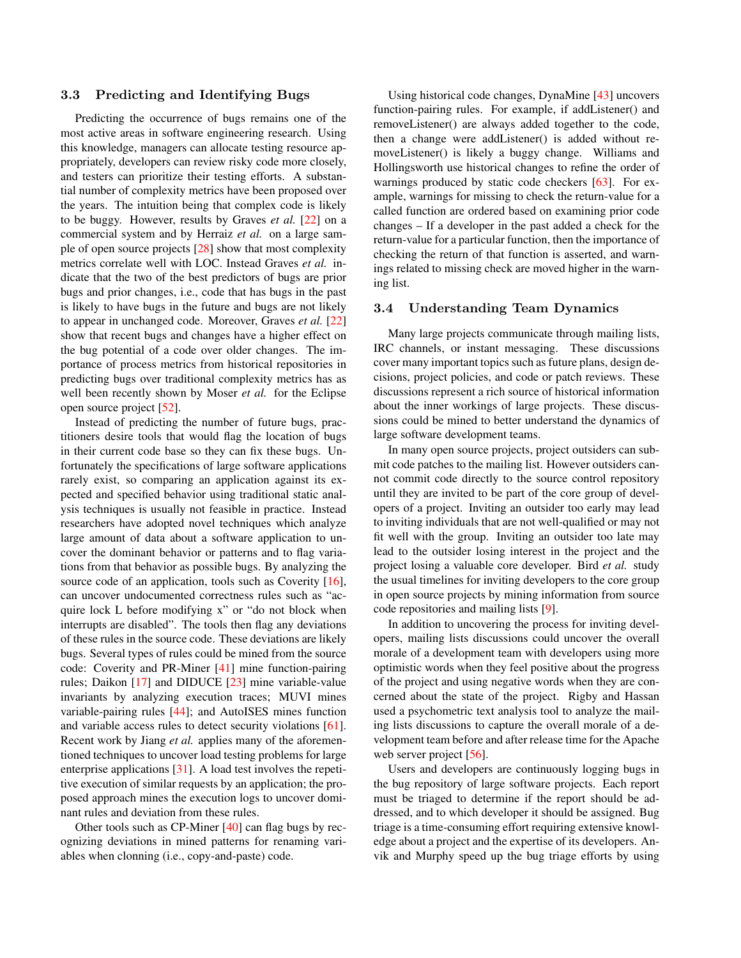#### 3.3 Predicting and Identifying Bugs

Predicting the occurrence of bugs remains one of the most active areas in software engineering research. Using this knowledge, managers can allocate testing resource appropriately, developers can review risky code more closely, and testers can prioritize their testing efforts. A substantial number of complexity metrics have been proposed over the years. The intuition being that complex code is likely to be buggy. However, results by Graves *et al.* [\[22\]](#page-8-9) on a commercial system and by Herraiz *et al.* on a large sample of open source projects [\[28\]](#page-8-10) show that most complexity metrics correlate well with LOC. Instead Graves *et al.* indicate that the two of the best predictors of bugs are prior bugs and prior changes, i.e., code that has bugs in the past is likely to have bugs in the future and bugs are not likely to appear in unchanged code. Moreover, Graves *et al.* [\[22\]](#page-8-9) show that recent bugs and changes have a higher effect on the bug potential of a code over older changes. The importance of process metrics from historical repositories in predicting bugs over traditional complexity metrics has as well been recently shown by Moser *et al.* for the Eclipse open source project [\[52\]](#page-9-9).

Instead of predicting the number of future bugs, practitioners desire tools that would flag the location of bugs in their current code base so they can fix these bugs. Unfortunately the specifications of large software applications rarely exist, so comparing an application against its expected and specified behavior using traditional static analysis techniques is usually not feasible in practice. Instead researchers have adopted novel techniques which analyze large amount of data about a software application to uncover the dominant behavior or patterns and to flag variations from that behavior as possible bugs. By analyzing the source code of an application, tools such as Coverity [\[16\]](#page-8-11), can uncover undocumented correctness rules such as "acquire lock L before modifying x" or "do not block when interrupts are disabled". The tools then flag any deviations of these rules in the source code. These deviations are likely bugs. Several types of rules could be mined from the source code: Coverity and PR-Miner [\[41\]](#page-9-10) mine function-pairing rules; Daikon [\[17\]](#page-8-12) and DIDUCE [\[23\]](#page-8-13) mine variable-value invariants by analyzing execution traces; MUVI mines variable-pairing rules [\[44\]](#page-9-11); and AutoISES mines function and variable access rules to detect security violations [\[61\]](#page-9-12). Recent work by Jiang *et al.* applies many of the aforementioned techniques to uncover load testing problems for large enterprise applications [\[31\]](#page-9-13). A load test involves the repetitive execution of similar requests by an application; the proposed approach mines the execution logs to uncover dominant rules and deviation from these rules.

Other tools such as CP-Miner [\[40\]](#page-9-14) can flag bugs by recognizing deviations in mined patterns for renaming variables when clonning (i.e., copy-and-paste) code.

Using historical code changes, DynaMine [\[43\]](#page-9-15) uncovers function-pairing rules. For example, if addListener() and removeListener() are always added together to the code, then a change were addListener() is added without removeListener() is likely a buggy change. Williams and Hollingsworth use historical changes to refine the order of warnings produced by static code checkers [\[63\]](#page-9-16). For example, warnings for missing to check the return-value for a called function are ordered based on examining prior code changes – If a developer in the past added a check for the return-value for a particular function, then the importance of checking the return of that function is asserted, and warnings related to missing check are moved higher in the warning list.

#### 3.4 Understanding Team Dynamics

Many large projects communicate through mailing lists, IRC channels, or instant messaging. These discussions cover many important topics such as future plans, design decisions, project policies, and code or patch reviews. These discussions represent a rich source of historical information about the inner workings of large projects. These discussions could be mined to better understand the dynamics of large software development teams.

In many open source projects, project outsiders can submit code patches to the mailing list. However outsiders cannot commit code directly to the source control repository until they are invited to be part of the core group of developers of a project. Inviting an outsider too early may lead to inviting individuals that are not well-qualified or may not fit well with the group. Inviting an outsider too late may lead to the outsider losing interest in the project and the project losing a valuable core developer. Bird *et al.* study the usual timelines for inviting developers to the core group in open source projects by mining information from source code repositories and mailing lists [\[9\]](#page-8-14).

In addition to uncovering the process for inviting developers, mailing lists discussions could uncover the overall morale of a development team with developers using more optimistic words when they feel positive about the progress of the project and using negative words when they are concerned about the state of the project. Rigby and Hassan used a psychometric text analysis tool to analyze the mailing lists discussions to capture the overall morale of a development team before and after release time for the Apache web server project [\[56\]](#page-9-17).

Users and developers are continuously logging bugs in the bug repository of large software projects. Each report must be triaged to determine if the report should be addressed, and to which developer it should be assigned. Bug triage is a time-consuming effort requiring extensive knowledge about a project and the expertise of its developers. Anvik and Murphy speed up the bug triage efforts by using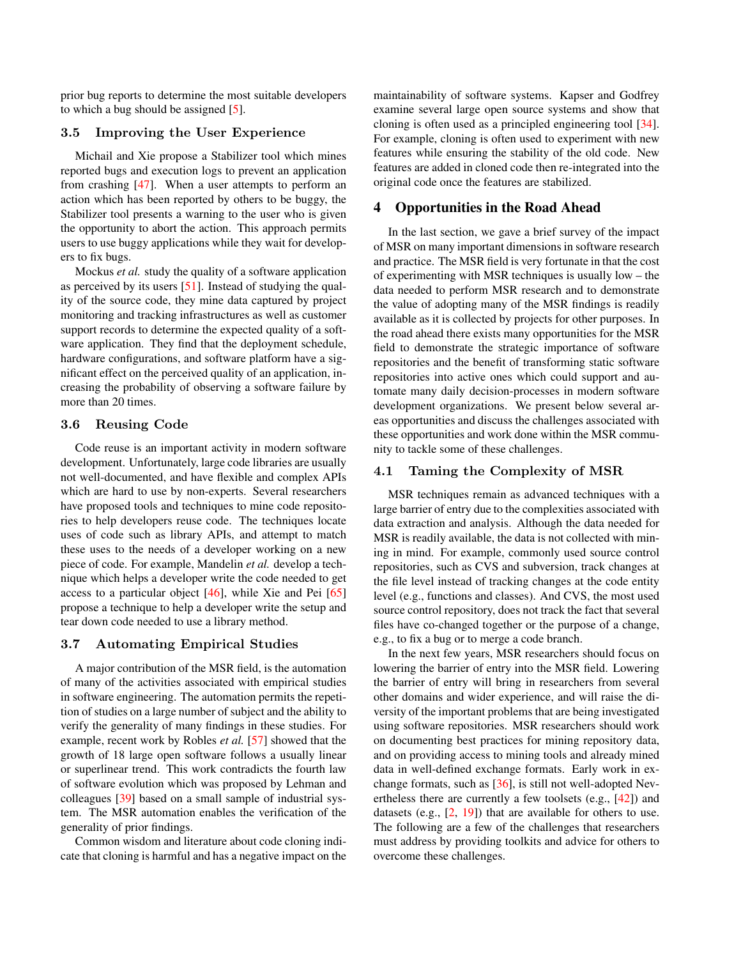prior bug reports to determine the most suitable developers to which a bug should be assigned [\[5\]](#page-8-15).

#### 3.5 Improving the User Experience

Michail and Xie propose a Stabilizer tool which mines reported bugs and execution logs to prevent an application from crashing [\[47\]](#page-9-18). When a user attempts to perform an action which has been reported by others to be buggy, the Stabilizer tool presents a warning to the user who is given the opportunity to abort the action. This approach permits users to use buggy applications while they wait for developers to fix bugs.

Mockus *et al.* study the quality of a software application as perceived by its users [\[51\]](#page-9-19). Instead of studying the quality of the source code, they mine data captured by project monitoring and tracking infrastructures as well as customer support records to determine the expected quality of a software application. They find that the deployment schedule, hardware configurations, and software platform have a significant effect on the perceived quality of an application, increasing the probability of observing a software failure by more than 20 times.

# 3.6 Reusing Code

Code reuse is an important activity in modern software development. Unfortunately, large code libraries are usually not well-documented, and have flexible and complex APIs which are hard to use by non-experts. Several researchers have proposed tools and techniques to mine code repositories to help developers reuse code. The techniques locate uses of code such as library APIs, and attempt to match these uses to the needs of a developer working on a new piece of code. For example, Mandelin *et al.* develop a technique which helps a developer write the code needed to get access to a particular object  $[46]$ , while Xie and Pei  $[65]$ propose a technique to help a developer write the setup and tear down code needed to use a library method.

#### 3.7 Automating Empirical Studies

A major contribution of the MSR field, is the automation of many of the activities associated with empirical studies in software engineering. The automation permits the repetition of studies on a large number of subject and the ability to verify the generality of many findings in these studies. For example, recent work by Robles *et al.* [\[57\]](#page-9-22) showed that the growth of 18 large open software follows a usually linear or superlinear trend. This work contradicts the fourth law of software evolution which was proposed by Lehman and colleagues [\[39\]](#page-9-23) based on a small sample of industrial system. The MSR automation enables the verification of the generality of prior findings.

Common wisdom and literature about code cloning indicate that cloning is harmful and has a negative impact on the maintainability of software systems. Kapser and Godfrey examine several large open source systems and show that cloning is often used as a principled engineering tool [\[34\]](#page-9-24). For example, cloning is often used to experiment with new features while ensuring the stability of the old code. New features are added in cloned code then re-integrated into the original code once the features are stabilized.

# 4 Opportunities in the Road Ahead

In the last section, we gave a brief survey of the impact of MSR on many important dimensions in software research and practice. The MSR field is very fortunate in that the cost of experimenting with MSR techniques is usually low – the data needed to perform MSR research and to demonstrate the value of adopting many of the MSR findings is readily available as it is collected by projects for other purposes. In the road ahead there exists many opportunities for the MSR field to demonstrate the strategic importance of software repositories and the benefit of transforming static software repositories into active ones which could support and automate many daily decision-processes in modern software development organizations. We present below several areas opportunities and discuss the challenges associated with these opportunities and work done within the MSR community to tackle some of these challenges.

### 4.1 Taming the Complexity of MSR

MSR techniques remain as advanced techniques with a large barrier of entry due to the complexities associated with data extraction and analysis. Although the data needed for MSR is readily available, the data is not collected with mining in mind. For example, commonly used source control repositories, such as CVS and subversion, track changes at the file level instead of tracking changes at the code entity level (e.g., functions and classes). And CVS, the most used source control repository, does not track the fact that several files have co-changed together or the purpose of a change, e.g., to fix a bug or to merge a code branch.

In the next few years, MSR researchers should focus on lowering the barrier of entry into the MSR field. Lowering the barrier of entry will bring in researchers from several other domains and wider experience, and will raise the diversity of the important problems that are being investigated using software repositories. MSR researchers should work on documenting best practices for mining repository data, and on providing access to mining tools and already mined data in well-defined exchange formats. Early work in exchange formats, such as [\[36\]](#page-9-25), is still not well-adopted Nevertheless there are currently a few toolsets (e.g., [\[42\]](#page-9-26)) and datasets (e.g., [\[2,](#page-8-16) [19\]](#page-8-17)) that are available for others to use. The following are a few of the challenges that researchers must address by providing toolkits and advice for others to overcome these challenges.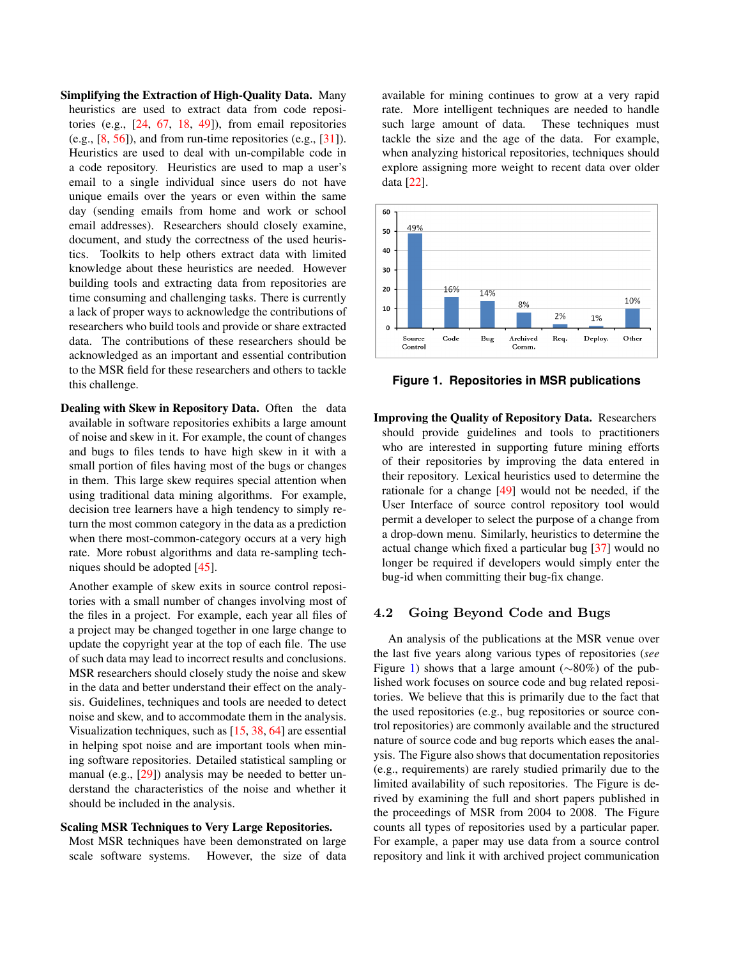Simplifying the Extraction of High-Quality Data. Many heuristics are used to extract data from code repositories (e.g., [\[24,](#page-8-18) [67,](#page-9-27) [18,](#page-8-19) [49\]](#page-9-28)), from email repositories (e.g.,  $[8, 56]$  $[8, 56]$  $[8, 56]$ ), and from run-time repositories (e.g.,  $[31]$ ). Heuristics are used to deal with un-compilable code in a code repository. Heuristics are used to map a user's email to a single individual since users do not have unique emails over the years or even within the same day (sending emails from home and work or school email addresses). Researchers should closely examine, document, and study the correctness of the used heuristics. Toolkits to help others extract data with limited knowledge about these heuristics are needed. However building tools and extracting data from repositories are time consuming and challenging tasks. There is currently a lack of proper ways to acknowledge the contributions of researchers who build tools and provide or share extracted data. The contributions of these researchers should be acknowledged as an important and essential contribution to the MSR field for these researchers and others to tackle this challenge.

Dealing with Skew in Repository Data. Often the data available in software repositories exhibits a large amount of noise and skew in it. For example, the count of changes and bugs to files tends to have high skew in it with a small portion of files having most of the bugs or changes in them. This large skew requires special attention when using traditional data mining algorithms. For example, decision tree learners have a high tendency to simply return the most common category in the data as a prediction when there most-common-category occurs at a very high rate. More robust algorithms and data re-sampling techniques should be adopted [\[45\]](#page-9-7).

Another example of skew exits in source control repositories with a small number of changes involving most of the files in a project. For example, each year all files of a project may be changed together in one large change to update the copyright year at the top of each file. The use of such data may lead to incorrect results and conclusions. MSR researchers should closely study the noise and skew in the data and better understand their effect on the analysis. Guidelines, techniques and tools are needed to detect noise and skew, and to accommodate them in the analysis. Visualization techniques, such as [\[15,](#page-8-21) [38,](#page-9-29) [64\]](#page-9-30) are essential in helping spot noise and are important tools when mining software repositories. Detailed statistical sampling or manual (e.g., [\[29\]](#page-8-22)) analysis may be needed to better understand the characteristics of the noise and whether it should be included in the analysis.

#### Scaling MSR Techniques to Very Large Repositories.

Most MSR techniques have been demonstrated on large scale software systems. However, the size of data available for mining continues to grow at a very rapid rate. More intelligent techniques are needed to handle such large amount of data. These techniques must tackle the size and the age of the data. For example, when analyzing historical repositories, techniques should explore assigning more weight to recent data over older data [\[22\]](#page-8-9).



<span id="page-5-0"></span>**Figure 1. Repositories in MSR publications**

Improving the Quality of Repository Data. Researchers should provide guidelines and tools to practitioners who are interested in supporting future mining efforts of their repositories by improving the data entered in their repository. Lexical heuristics used to determine the rationale for a change [\[49\]](#page-9-28) would not be needed, if the User Interface of source control repository tool would permit a developer to select the purpose of a change from a drop-down menu. Similarly, heuristics to determine the actual change which fixed a particular bug [\[37\]](#page-9-31) would no longer be required if developers would simply enter the bug-id when committing their bug-fix change.

### 4.2 Going Beyond Code and Bugs

An analysis of the publications at the MSR venue over the last five years along various types of repositories (*see* Figure [1\)](#page-5-0) shows that a large amount (∼80%) of the published work focuses on source code and bug related repositories. We believe that this is primarily due to the fact that the used repositories (e.g., bug repositories or source control repositories) are commonly available and the structured nature of source code and bug reports which eases the analysis. The Figure also shows that documentation repositories (e.g., requirements) are rarely studied primarily due to the limited availability of such repositories. The Figure is derived by examining the full and short papers published in the proceedings of MSR from 2004 to 2008. The Figure counts all types of repositories used by a particular paper. For example, a paper may use data from a source control repository and link it with archived project communication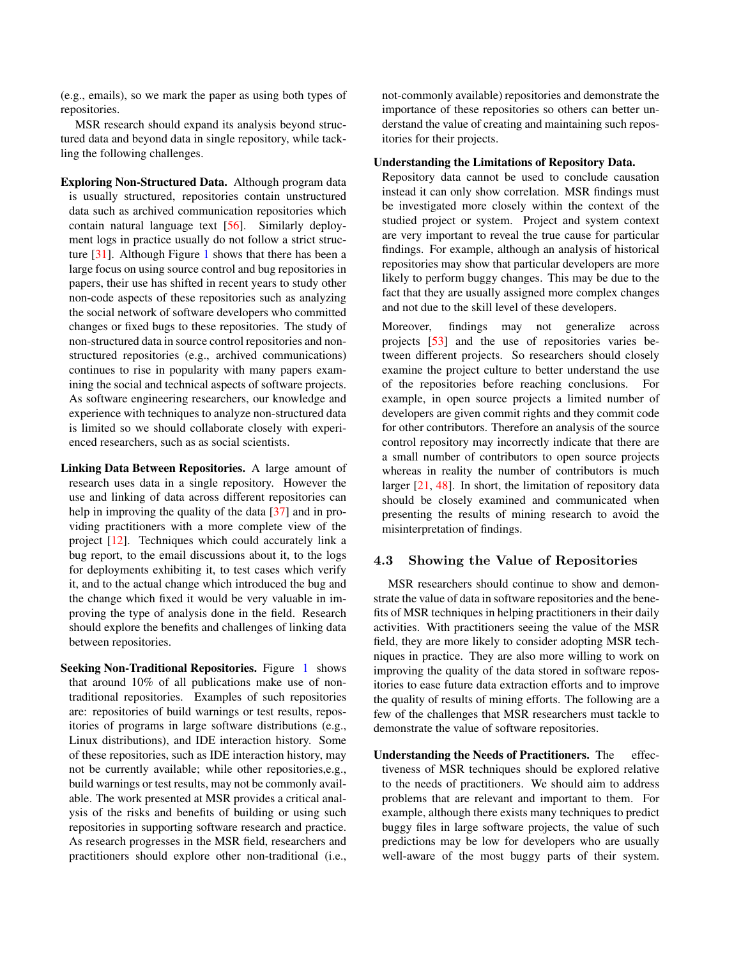(e.g., emails), so we mark the paper as using both types of repositories.

MSR research should expand its analysis beyond structured data and beyond data in single repository, while tackling the following challenges.

- Exploring Non-Structured Data. Although program data is usually structured, repositories contain unstructured data such as archived communication repositories which contain natural language text [\[56\]](#page-9-17). Similarly deployment logs in practice usually do not follow a strict structure [\[31\]](#page-9-13). Although Figure [1](#page-5-0) shows that there has been a large focus on using source control and bug repositories in papers, their use has shifted in recent years to study other non-code aspects of these repositories such as analyzing the social network of software developers who committed changes or fixed bugs to these repositories. The study of non-structured data in source control repositories and nonstructured repositories (e.g., archived communications) continues to rise in popularity with many papers examining the social and technical aspects of software projects. As software engineering researchers, our knowledge and experience with techniques to analyze non-structured data is limited so we should collaborate closely with experienced researchers, such as as social scientists.
- Linking Data Between Repositories. A large amount of research uses data in a single repository. However the use and linking of data across different repositories can help in improving the quality of the data [\[37\]](#page-9-31) and in providing practitioners with a more complete view of the project [\[12\]](#page-8-6). Techniques which could accurately link a bug report, to the email discussions about it, to the logs for deployments exhibiting it, to test cases which verify it, and to the actual change which introduced the bug and the change which fixed it would be very valuable in improving the type of analysis done in the field. Research should explore the benefits and challenges of linking data between repositories.
- Seeking Non-Traditional Repositories. Figure [1](#page-5-0) shows that around 10% of all publications make use of nontraditional repositories. Examples of such repositories are: repositories of build warnings or test results, repositories of programs in large software distributions (e.g., Linux distributions), and IDE interaction history. Some of these repositories, such as IDE interaction history, may not be currently available; while other repositories,e.g., build warnings or test results, may not be commonly available. The work presented at MSR provides a critical analysis of the risks and benefits of building or using such repositories in supporting software research and practice. As research progresses in the MSR field, researchers and practitioners should explore other non-traditional (i.e.,

not-commonly available) repositories and demonstrate the importance of these repositories so others can better understand the value of creating and maintaining such repositories for their projects.

#### Understanding the Limitations of Repository Data.

Repository data cannot be used to conclude causation instead it can only show correlation. MSR findings must be investigated more closely within the context of the studied project or system. Project and system context are very important to reveal the true cause for particular findings. For example, although an analysis of historical repositories may show that particular developers are more likely to perform buggy changes. This may be due to the fact that they are usually assigned more complex changes and not due to the skill level of these developers.

Moreover, findings may not generalize across projects [\[53\]](#page-9-32) and the use of repositories varies between different projects. So researchers should closely examine the project culture to better understand the use of the repositories before reaching conclusions. For example, in open source projects a limited number of developers are given commit rights and they commit code for other contributors. Therefore an analysis of the source control repository may incorrectly indicate that there are a small number of contributors to open source projects whereas in reality the number of contributors is much larger [\[21,](#page-8-23) [48\]](#page-9-33). In short, the limitation of repository data should be closely examined and communicated when presenting the results of mining research to avoid the misinterpretation of findings.

#### 4.3 Showing the Value of Repositories

MSR researchers should continue to show and demonstrate the value of data in software repositories and the benefits of MSR techniques in helping practitioners in their daily activities. With practitioners seeing the value of the MSR field, they are more likely to consider adopting MSR techniques in practice. They are also more willing to work on improving the quality of the data stored in software repositories to ease future data extraction efforts and to improve the quality of results of mining efforts. The following are a few of the challenges that MSR researchers must tackle to demonstrate the value of software repositories.

Understanding the Needs of Practitioners. The effectiveness of MSR techniques should be explored relative to the needs of practitioners. We should aim to address problems that are relevant and important to them. For example, although there exists many techniques to predict buggy files in large software projects, the value of such predictions may be low for developers who are usually well-aware of the most buggy parts of their system.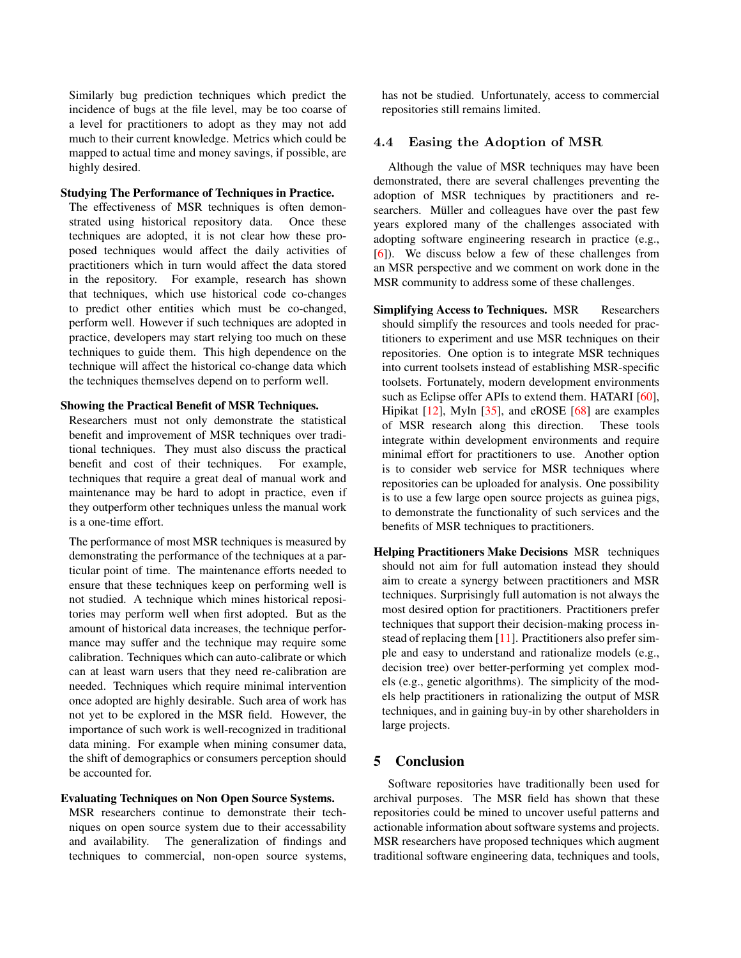Similarly bug prediction techniques which predict the incidence of bugs at the file level, may be too coarse of a level for practitioners to adopt as they may not add much to their current knowledge. Metrics which could be mapped to actual time and money savings, if possible, are highly desired.

### Studying The Performance of Techniques in Practice.

The effectiveness of MSR techniques is often demonstrated using historical repository data. Once these techniques are adopted, it is not clear how these proposed techniques would affect the daily activities of practitioners which in turn would affect the data stored in the repository. For example, research has shown that techniques, which use historical code co-changes to predict other entities which must be co-changed, perform well. However if such techniques are adopted in practice, developers may start relying too much on these techniques to guide them. This high dependence on the technique will affect the historical co-change data which the techniques themselves depend on to perform well.

# Showing the Practical Benefit of MSR Techniques.

Researchers must not only demonstrate the statistical benefit and improvement of MSR techniques over traditional techniques. They must also discuss the practical benefit and cost of their techniques. For example, techniques that require a great deal of manual work and maintenance may be hard to adopt in practice, even if they outperform other techniques unless the manual work is a one-time effort.

The performance of most MSR techniques is measured by demonstrating the performance of the techniques at a particular point of time. The maintenance efforts needed to ensure that these techniques keep on performing well is not studied. A technique which mines historical repositories may perform well when first adopted. But as the amount of historical data increases, the technique performance may suffer and the technique may require some calibration. Techniques which can auto-calibrate or which can at least warn users that they need re-calibration are needed. Techniques which require minimal intervention once adopted are highly desirable. Such area of work has not yet to be explored in the MSR field. However, the importance of such work is well-recognized in traditional data mining. For example when mining consumer data, the shift of demographics or consumers perception should be accounted for.

#### Evaluating Techniques on Non Open Source Systems.

MSR researchers continue to demonstrate their techniques on open source system due to their accessability and availability. The generalization of findings and techniques to commercial, non-open source systems,

has not be studied. Unfortunately, access to commercial repositories still remains limited.

#### 4.4 Easing the Adoption of MSR

Although the value of MSR techniques may have been demonstrated, there are several challenges preventing the adoption of MSR techniques by practitioners and researchers. Müller and colleagues have over the past few years explored many of the challenges associated with adopting software engineering research in practice (e.g., [\[6\]](#page-8-24)). We discuss below a few of these challenges from an MSR perspective and we comment on work done in the MSR community to address some of these challenges.

- Simplifying Access to Techniques. MSR Researchers should simplify the resources and tools needed for practitioners to experiment and use MSR techniques on their repositories. One option is to integrate MSR techniques into current toolsets instead of establishing MSR-specific toolsets. Fortunately, modern development environments such as Eclipse offer APIs to extend them. HATARI [\[60\]](#page-9-34), Hipikat [\[12\]](#page-8-6), Myln [\[35\]](#page-9-35), and eROSE [\[68\]](#page-9-5) are examples of MSR research along this direction. These tools integrate within development environments and require minimal effort for practitioners to use. Another option is to consider web service for MSR techniques where repositories can be uploaded for analysis. One possibility is to use a few large open source projects as guinea pigs, to demonstrate the functionality of such services and the benefits of MSR techniques to practitioners.
- Helping Practitioners Make Decisions MSR techniques should not aim for full automation instead they should aim to create a synergy between practitioners and MSR techniques. Surprisingly full automation is not always the most desired option for practitioners. Practitioners prefer techniques that support their decision-making process instead of replacing them [\[11\]](#page-8-25). Practitioners also prefer simple and easy to understand and rationalize models (e.g., decision tree) over better-performing yet complex models (e.g., genetic algorithms). The simplicity of the models help practitioners in rationalizing the output of MSR techniques, and in gaining buy-in by other shareholders in large projects.

#### 5 Conclusion

Software repositories have traditionally been used for archival purposes. The MSR field has shown that these repositories could be mined to uncover useful patterns and actionable information about software systems and projects. MSR researchers have proposed techniques which augment traditional software engineering data, techniques and tools,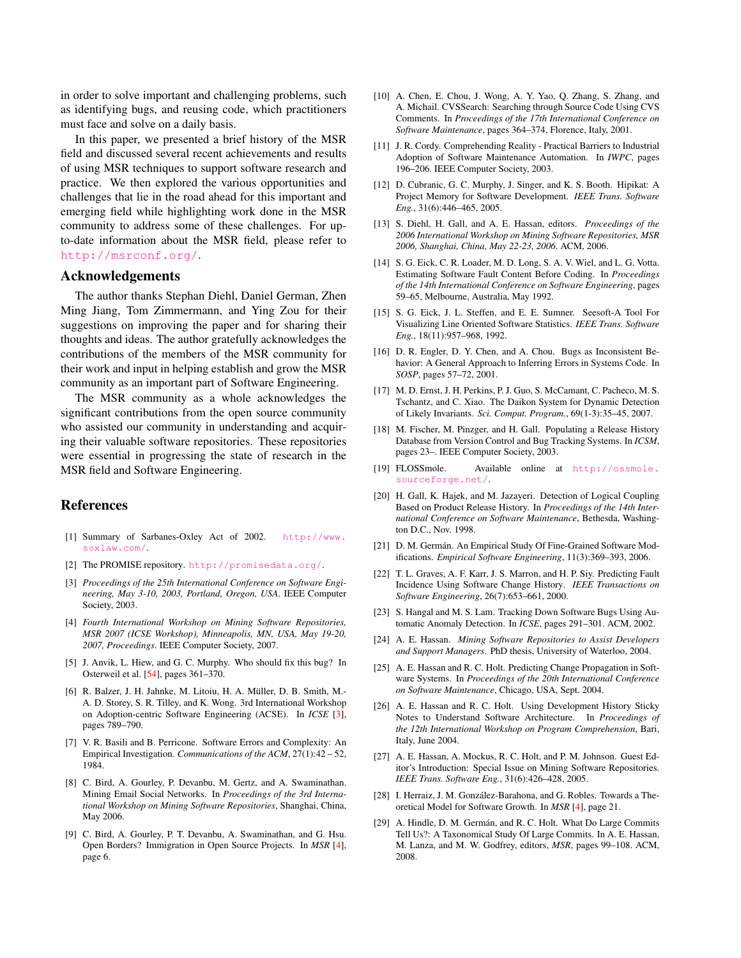in order to solve important and challenging problems, such as identifying bugs, and reusing code, which practitioners must face and solve on a daily basis.

In this paper, we presented a brief history of the MSR field and discussed several recent achievements and results of using MSR techniques to support software research and practice. We then explored the various opportunities and challenges that lie in the road ahead for this important and emerging field while highlighting work done in the MSR community to address some of these challenges. For upto-date information about the MSR field, please refer to <http://msrconf.org/>.

# Acknowledgements

The author thanks Stephan Diehl, Daniel German, Zhen Ming Jiang, Tom Zimmermann, and Ying Zou for their suggestions on improving the paper and for sharing their thoughts and ideas. The author gratefully acknowledges the contributions of the members of the MSR community for their work and input in helping establish and grow the MSR community as an important part of Software Engineering.

The MSR community as a whole acknowledges the significant contributions from the open source community who assisted our community in understanding and acquiring their valuable software repositories. These repositories were essential in progressing the state of research in the MSR field and Software Engineering.

# References

- <span id="page-8-5"></span>[1] Summary of Sarbanes-Oxley Act of 2002. [http://www.](http://www.soxlaw.com/) [soxlaw.com/](http://www.soxlaw.com/).
- <span id="page-8-16"></span>[2] The PROMISE repository. <http://promisedata.org/>.
- <span id="page-8-26"></span>[3] *Proceedings of the 25th International Conference on Software Engineering, May 3-10, 2003, Portland, Oregon, USA*. IEEE Computer Society, 2003.
- <span id="page-8-27"></span>[4] *Fourth International Workshop on Mining Software Repositories, MSR 2007 (ICSE Workshop), Minneapolis, MN, USA, May 19-20, 2007, Proceedings*. IEEE Computer Society, 2007.
- <span id="page-8-15"></span>[5] J. Anvik, L. Hiew, and G. C. Murphy. Who should fix this bug? In Osterweil et al. [\[54\]](#page-9-36), pages 361–370.
- <span id="page-8-24"></span>[6] R. Balzer, J. H. Jahnke, M. Litoiu, H. A. Müller, D. B. Smith, M.-A. D. Storey, S. R. Tilley, and K. Wong. 3rd International Workshop on Adoption-centric Software Engineering (ACSE). In *ICSE* [\[3\]](#page-8-26), pages 789–790.
- <span id="page-8-1"></span>[7] V. R. Basili and B. Perricone. Software Errors and Complexity: An Empirical Investigation. *Communications of the ACM*, 27(1):42 – 52, 1984.
- <span id="page-8-20"></span>[8] C. Bird, A. Gourley, P. Devanbu, M. Gertz, and A. Swaminathan. Mining Email Social Networks. In *Proceedings of the 3rd International Workshop on Mining Software Repositories*, Shanghai, China, May 2006.
- <span id="page-8-14"></span>[9] C. Bird, A. Gourley, P. T. Devanbu, A. Swaminathan, and G. Hsu. Open Borders? Immigration in Open Source Projects. In *MSR* [\[4\]](#page-8-27), page 6.
- <span id="page-8-3"></span>[10] A. Chen, E. Chou, J. Wong, A. Y. Yao, O. Zhang, S. Zhang, and A. Michail. CVSSearch: Searching through Source Code Using CVS Comments. In *Proceedings of the 17th International Conference on Software Maintenance*, pages 364–374, Florence, Italy, 2001.
- <span id="page-8-25"></span>[11] J. R. Cordy. Comprehending Reality - Practical Barriers to Industrial Adoption of Software Maintenance Automation. In *IWPC*, pages 196–206. IEEE Computer Society, 2003.
- <span id="page-8-6"></span>[12] D. Cubranic, G. C. Murphy, J. Singer, and K. S. Booth. Hipikat: A Project Memory for Software Development. *IEEE Trans. Software Eng.*, 31(6):446–465, 2005.
- <span id="page-8-28"></span>[13] S. Diehl, H. Gall, and A. E. Hassan, editors. *Proceedings of the 2006 International Workshop on Mining Software Repositories, MSR 2006, Shanghai, China, May 22-23, 2006*. ACM, 2006.
- <span id="page-8-2"></span>[14] S. G. Eick, C. R. Loader, M. D. Long, S. A. V. Wiel, and L. G. Votta. Estimating Software Fault Content Before Coding. In *Proceedings of the 14th International Conference on Software Engineering*, pages 59–65, Melbourne, Australia, May 1992.
- <span id="page-8-21"></span>[15] S. G. Eick, J. L. Steffen, and E. E. Sumner. Seesoft-A Tool For Visualizing Line Oriented Software Statistics. *IEEE Trans. Software Eng.*, 18(11):957–968, 1992.
- <span id="page-8-11"></span>[16] D. R. Engler, D. Y. Chen, and A. Chou. Bugs as Inconsistent Behavior: A General Approach to Inferring Errors in Systems Code. In *SOSP*, pages 57–72, 2001.
- <span id="page-8-12"></span>[17] M. D. Ernst, J. H. Perkins, P. J. Guo, S. McCamant, C. Pacheco, M. S. Tschantz, and C. Xiao. The Daikon System for Dynamic Detection of Likely Invariants. *Sci. Comput. Program.*, 69(1-3):35–45, 2007.
- <span id="page-8-19"></span>[18] M. Fischer, M. Pinzger, and H. Gall. Populating a Release History Database from Version Control and Bug Tracking Systems. In *ICSM*, pages 23–. IEEE Computer Society, 2003.
- <span id="page-8-17"></span>[19] FLOSSmole. Available online at [http://ossmole.](http://ossmole.sourceforge.net/) [sourceforge.net/](http://ossmole.sourceforge.net/).
- <span id="page-8-0"></span>[20] H. Gall, K. Hajek, and M. Jazayeri. Detection of Logical Coupling Based on Product Release History. In *Proceedings of the 14th International Conference on Software Maintenance*, Bethesda, Washington D.C., Nov. 1998.
- <span id="page-8-23"></span>[21] D. M. Germán. An Empirical Study Of Fine-Grained Software Modifications. *Empirical Software Engineering*, 11(3):369–393, 2006.
- <span id="page-8-9"></span>[22] T. L. Graves, A. F. Karr, J. S. Marron, and H. P. Siy. Predicting Fault Incidence Using Software Change History. *IEEE Transactions on Software Engineering*, 26(7):653–661, 2000.
- <span id="page-8-13"></span>[23] S. Hangal and M. S. Lam. Tracking Down Software Bugs Using Automatic Anomaly Detection. In *ICSE*, pages 291–301. ACM, 2002.
- <span id="page-8-18"></span>[24] A. E. Hassan. *Mining Software Repositories to Assist Developers and Support Managers*. PhD thesis, University of Waterloo, 2004.
- <span id="page-8-8"></span>[25] A. E. Hassan and R. C. Holt. Predicting Change Propagation in Software Systems. In *Proceedings of the 20th International Conference on Software Maintenance*, Chicago, USA, Sept. 2004.
- <span id="page-8-7"></span>[26] A. E. Hassan and R. C. Holt. Using Development History Sticky Notes to Understand Software Architecture. In *Proceedings of the 12th International Workshop on Program Comprehension*, Bari, Italy, June 2004.
- <span id="page-8-4"></span>[27] A. E. Hassan, A. Mockus, R. C. Holt, and P. M. Johnson. Guest Editor's Introduction: Special Issue on Mining Software Repositories. *IEEE Trans. Software Eng.*, 31(6):426–428, 2005.
- <span id="page-8-10"></span>[28] I. Herraiz, J. M. González-Barahona, and G. Robles. Towards a Theoretical Model for Software Growth. In *MSR* [\[4\]](#page-8-27), page 21.
- <span id="page-8-22"></span>[29] A. Hindle, D. M. Germán, and R. C. Holt. What Do Large Commits Tell Us?: A Taxonomical Study Of Large Commits. In A. E. Hassan, M. Lanza, and M. W. Godfrey, editors, *MSR*, pages 99–108. ACM, 2008.